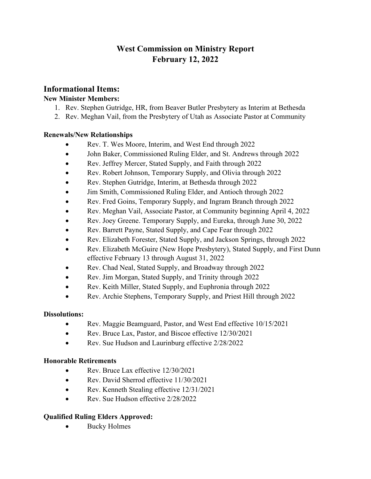# **West Commission on Ministry Report February 12, 2022**

## **Informational Items:**

## **New Minister Members:**

- 1. Rev. Stephen Gutridge, HR, from Beaver Butler Presbytery as Interim at Bethesda
- 2. Rev. Meghan Vail, from the Presbytery of Utah as Associate Pastor at Community

## **Renewals/New Relationships**

- Rev. T. Wes Moore, Interim, and West End through 2022
- John Baker, Commissioned Ruling Elder, and St. Andrews through 2022
- Rev. Jeffrey Mercer, Stated Supply, and Faith through 2022
- Rev. Robert Johnson, Temporary Supply, and Olivia through 2022
- Rev. Stephen Gutridge, Interim, at Bethesda through 2022
- Jim Smith, Commissioned Ruling Elder, and Antioch through 2022
- Rev. Fred Goins, Temporary Supply, and Ingram Branch through 2022
- Rev. Meghan Vail, Associate Pastor, at Community beginning April 4, 2022
- Rev. Joey Greene. Temporary Supply, and Eureka, through June 30, 2022
- Rev. Barrett Payne, Stated Supply, and Cape Fear through 2022
- Rev. Elizabeth Forester, Stated Supply, and Jackson Springs, through 2022
- Rev. Elizabeth McGuire (New Hope Presbytery), Stated Supply, and First Dunn effective February 13 through August 31, 2022
- Rev. Chad Neal, Stated Supply, and Broadway through 2022
- Rev. Jim Morgan, Stated Supply, and Trinity through 2022
- Rev. Keith Miller, Stated Supply, and Euphronia through 2022
- Rev. Archie Stephens, Temporary Supply, and Priest Hill through 2022

## **Dissolutions:**

- Rev. Maggie Beamguard, Pastor, and West End effective 10/15/2021
- Rev. Bruce Lax, Pastor, and Biscoe effective 12/30/2021
- Rev. Sue Hudson and Laurinburg effective 2/28/2022

## **Honorable Retirements**

- Rev. Bruce Lax effective 12/30/2021
- Rev. David Sherrod effective 11/30/2021
- Rev. Kenneth Stealing effective 12/31/2021
- Rev. Sue Hudson effective 2/28/2022

## **Qualified Ruling Elders Approved:**

• Bucky Holmes